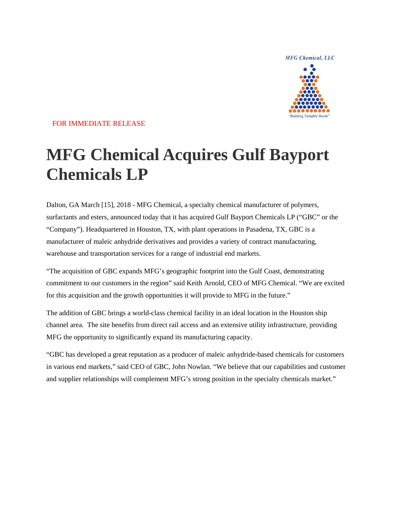**MFG Chemical, LLC** 



# FOR IMMEDIATE RELEASE

# **MFG Chemical Acquires Gulf Bayport Chemicals LP**

Dalton, GA March [15], 2018 - MFG Chemical, a specialty chemical manufacturer of polymers, surfactants and esters, announced today that it has acquired Gulf Bayport Chemicals LP ("GBC" or the "Company"). Headquartered in Houston, TX, with plant operations in Pasadena, TX, GBC is a manufacturer of maleic anhydride derivatives and provides a variety of contract manufacturing, warehouse and transportation services for a range of industrial end markets.

"The acquisition of GBC expands MFG's geographic footprint into the Gulf Coast, demonstrating commitment to our customers in the region" said Keith Arnold, CEO of MFG Chemical. "We are excited for this acquisition and the growth opportunities it will provide to MFG in the future."

The addition of GBC brings a world-class chemical facility in an ideal location in the Houston ship channel area. The site benefits from direct rail access and an extensive utility infrastructure, providing MFG the opportunity to significantly expand its manufacturing capacity.

"GBC has developed a great reputation as a producer of maleic anhydride-based chemicals for customers in various end markets," said CEO of GBC, John Nowlan. "We believe that our capabilities and customer and supplier relationships will complement MFG's strong position in the specialty chemicals market."